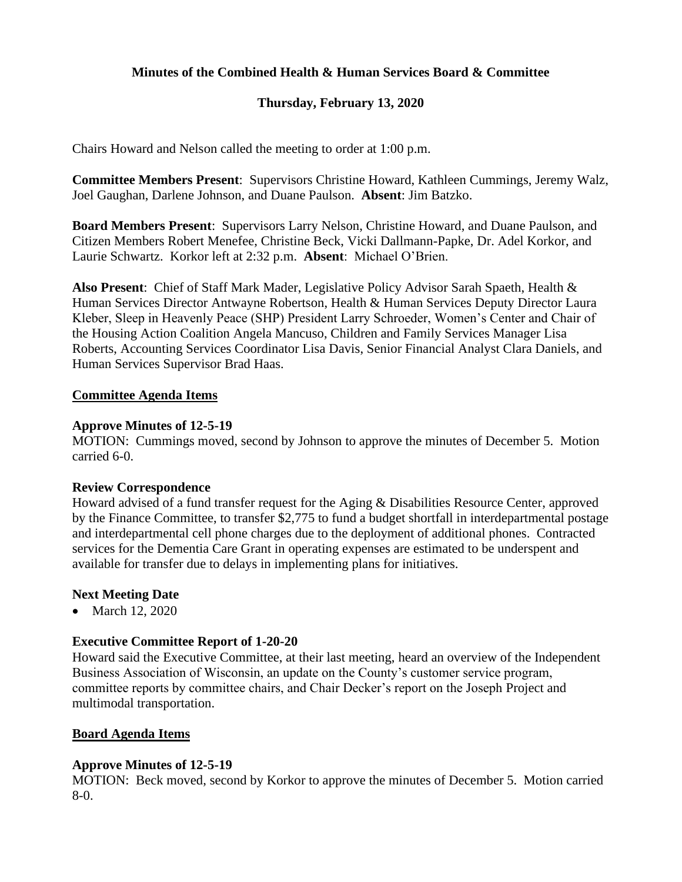### **Minutes of the Combined Health & Human Services Board & Committee**

### **Thursday, February 13, 2020**

Chairs Howard and Nelson called the meeting to order at 1:00 p.m.

**Committee Members Present**: Supervisors Christine Howard, Kathleen Cummings, Jeremy Walz, Joel Gaughan, Darlene Johnson, and Duane Paulson. **Absent**: Jim Batzko.

**Board Members Present**: Supervisors Larry Nelson, Christine Howard, and Duane Paulson, and Citizen Members Robert Menefee, Christine Beck, Vicki Dallmann-Papke, Dr. Adel Korkor, and Laurie Schwartz. Korkor left at 2:32 p.m. **Absent**: Michael O'Brien.

**Also Present**: Chief of Staff Mark Mader, Legislative Policy Advisor Sarah Spaeth, Health & Human Services Director Antwayne Robertson, Health & Human Services Deputy Director Laura Kleber, Sleep in Heavenly Peace (SHP) President Larry Schroeder, Women's Center and Chair of the Housing Action Coalition Angela Mancuso, Children and Family Services Manager Lisa Roberts, Accounting Services Coordinator Lisa Davis, Senior Financial Analyst Clara Daniels, and Human Services Supervisor Brad Haas.

#### **Committee Agenda Items**

#### **Approve Minutes of 12-5-19**

MOTION: Cummings moved, second by Johnson to approve the minutes of December 5. Motion carried 6-0.

#### **Review Correspondence**

Howard advised of a fund transfer request for the Aging & Disabilities Resource Center, approved by the Finance Committee, to transfer \$2,775 to fund a budget shortfall in interdepartmental postage and interdepartmental cell phone charges due to the deployment of additional phones. Contracted services for the Dementia Care Grant in operating expenses are estimated to be underspent and available for transfer due to delays in implementing plans for initiatives.

#### **Next Meeting Date**

• March 12, 2020

#### **Executive Committee Report of 1-20-20**

Howard said the Executive Committee, at their last meeting, heard an overview of the Independent Business Association of Wisconsin, an update on the County's customer service program, committee reports by committee chairs, and Chair Decker's report on the Joseph Project and multimodal transportation.

#### **Board Agenda Items**

#### **Approve Minutes of 12-5-19**

MOTION: Beck moved, second by Korkor to approve the minutes of December 5. Motion carried 8-0.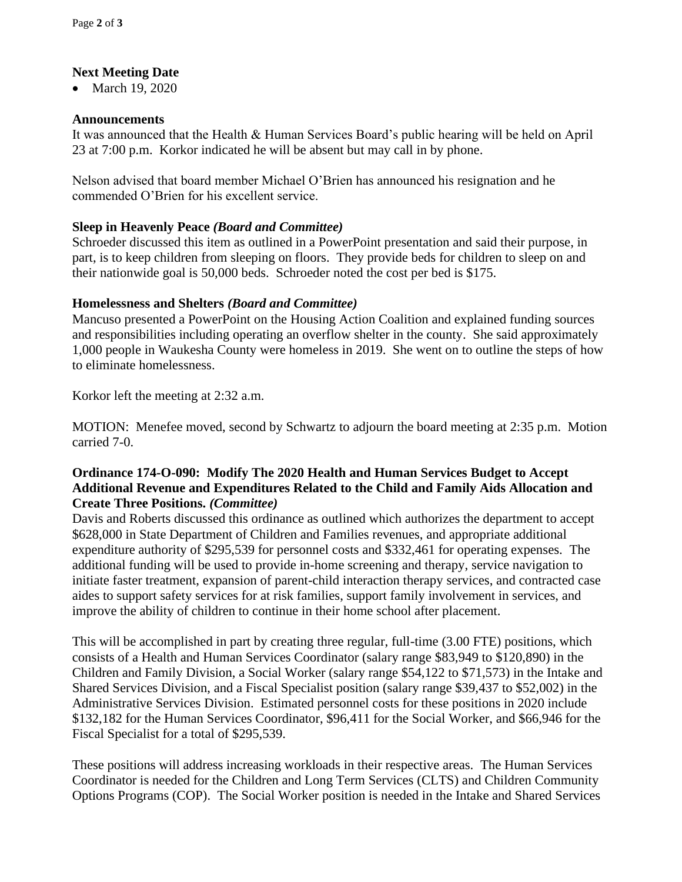# **Next Meeting Date**

• March 19, 2020

# **Announcements**

It was announced that the Health & Human Services Board's public hearing will be held on April 23 at 7:00 p.m. Korkor indicated he will be absent but may call in by phone.

Nelson advised that board member Michael O'Brien has announced his resignation and he commended O'Brien for his excellent service.

# **Sleep in Heavenly Peace** *(Board and Committee)*

Schroeder discussed this item as outlined in a PowerPoint presentation and said their purpose, in part, is to keep children from sleeping on floors. They provide beds for children to sleep on and their nationwide goal is 50,000 beds. Schroeder noted the cost per bed is \$175.

### **Homelessness and Shelters** *(Board and Committee)*

Mancuso presented a PowerPoint on the Housing Action Coalition and explained funding sources and responsibilities including operating an overflow shelter in the county. She said approximately 1,000 people in Waukesha County were homeless in 2019. She went on to outline the steps of how to eliminate homelessness.

Korkor left the meeting at 2:32 a.m.

MOTION: Menefee moved, second by Schwartz to adjourn the board meeting at 2:35 p.m. Motion carried 7-0.

# **Ordinance 174-O-090: Modify The 2020 Health and Human Services Budget to Accept Additional Revenue and Expenditures Related to the Child and Family Aids Allocation and Create Three Positions.** *(Committee)*

Davis and Roberts discussed this ordinance as outlined which authorizes the department to accept \$628,000 in State Department of Children and Families revenues, and appropriate additional expenditure authority of \$295,539 for personnel costs and \$332,461 for operating expenses. The additional funding will be used to provide in-home screening and therapy, service navigation to initiate faster treatment, expansion of parent-child interaction therapy services, and contracted case aides to support safety services for at risk families, support family involvement in services, and improve the ability of children to continue in their home school after placement.

This will be accomplished in part by creating three regular, full-time (3.00 FTE) positions, which consists of a Health and Human Services Coordinator (salary range \$83,949 to \$120,890) in the Children and Family Division, a Social Worker (salary range \$54,122 to \$71,573) in the Intake and Shared Services Division, and a Fiscal Specialist position (salary range \$39,437 to \$52,002) in the Administrative Services Division. Estimated personnel costs for these positions in 2020 include \$132,182 for the Human Services Coordinator, \$96,411 for the Social Worker, and \$66,946 for the Fiscal Specialist for a total of \$295,539.

These positions will address increasing workloads in their respective areas. The Human Services Coordinator is needed for the Children and Long Term Services (CLTS) and Children Community Options Programs (COP). The Social Worker position is needed in the Intake and Shared Services